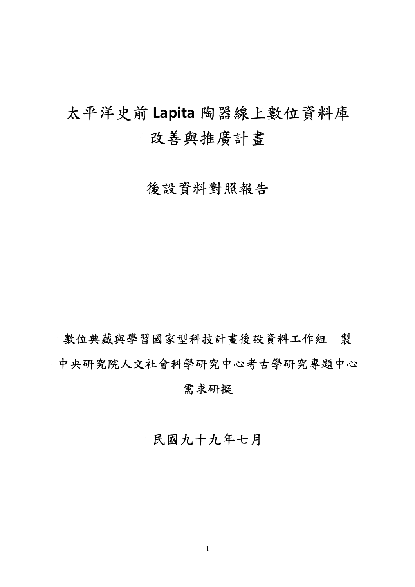# 太平洋史前 **Lapita** 陶器線上數位資料庫 改善與推廣計畫

後設資料對照報告

數位典藏與學習國家型科技計畫後設資料工作組 製 中央研究院人文社會科學研究中心考古學研究專題中心 需求研擬

民國九十九年七月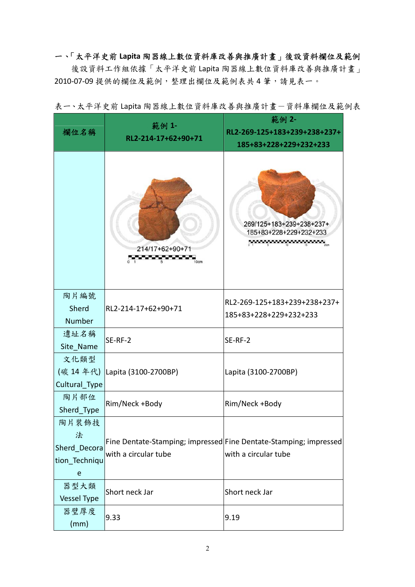# 一、「太平洋史前 **Lapita** 陶器線上數位資料庫改善與推廣計畫」後設資料欄位及範例

後設資料工作組依據「太平洋史前 Lapita 陶器線上數位資料庫改善與推廣計畫」 2010‐07‐09 提供的欄位及範例,整理出欄位及範例表共 4 筆,請見表一。

| 欄位名稱                                                       | 範例 1-<br>RL2-214-17+62+90+71   | 範例 2-<br>RL2-269-125+183+239+238+237+<br>185+83+228+229+232+233                           |
|------------------------------------------------------------|--------------------------------|-------------------------------------------------------------------------------------------|
|                                                            | 214/17+62+90+71                | 269/125+183+239+238+237+<br>185+83+228+229+232+233<br>$\sim$ $\sim$ $\sim$ $\sim$ $\sim$  |
| 陶片編號<br>Sherd<br><b>Number</b>                             | RL2-214-17+62+90+71            | RL2-269-125+183+239+238+237+<br>185+83+228+229+232+233                                    |
| 遺址名稱<br>Site_Name                                          | SE-RF-2                        | SE-RF-2                                                                                   |
| 文化類型<br>Cultural_Type                                      | (碳 14 年代) Lapita (3100-2700BP) | Lapita (3100-2700BP)                                                                      |
| 陶片部位<br>Sherd Type                                         | Rim/Neck +Body                 | Rim/Neck +Body                                                                            |
| 陶片裝飾技<br>法<br>Sherd Decora<br>tion_Techniqu<br>$\mathbf e$ | with a circular tube           | Fine Dentate-Stamping; impressed Fine Dentate-Stamping; impressed<br>with a circular tube |
| 器型大類<br>Vessel Type                                        | Short neck Jar                 | Short neck Jar                                                                            |
| 器壁厚度<br>(mm)                                               | 9.33                           | 9.19                                                                                      |

表一、太平洋史前 Lapita 陶器線上數位資料庫改善與推廣計畫一資料庫欄位及範例表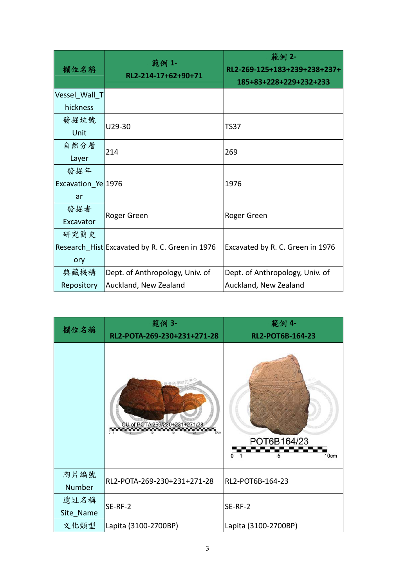| 欄位名稱               | 範例 1-<br>RL2-214-17+62+90+71                   | 範例 2-<br>RL2-269-125+183+239+238+237+<br>185+83+228+229+232+233 |
|--------------------|------------------------------------------------|-----------------------------------------------------------------|
| Vessel Wall T      |                                                |                                                                 |
| hickness           |                                                |                                                                 |
| 發掘坑號               | U29-30                                         | TS37                                                            |
| Unit               |                                                |                                                                 |
| 自然分層               | 214                                            | 269                                                             |
| Layer              |                                                |                                                                 |
| 發掘年                |                                                |                                                                 |
| Excavation_Ye 1976 |                                                | 1976                                                            |
| ar                 |                                                |                                                                 |
| 發掘者                |                                                |                                                                 |
| Excavator          | Roger Green                                    | Roger Green                                                     |
| 研究簡史               |                                                |                                                                 |
|                    | Research_Hist Excavated by R. C. Green in 1976 | Excavated by R. C. Green in 1976                                |
| ory                |                                                |                                                                 |
| 典藏機構               | Dept. of Anthropology, Univ. of                | Dept. of Anthropology, Univ. of                                 |
| Repository         | Auckland, New Zealand                          | Auckland, New Zealand                                           |

| 欄位名稱           | 範例 3-                         | 範例 4-                         |
|----------------|-------------------------------|-------------------------------|
|                | RL2-POTA-269-230+231+271-28   | RL2-POT6B-164-23              |
|                | CU of POTA 269/230+231+271/28 | POT6B164/23<br>O<br>10cm<br>5 |
| 陶片編號<br>Number | RL2-POTA-269-230+231+271-28   | RL2-POT6B-164-23              |
| 遺址名稱           | SE-RF-2                       | SE-RF-2                       |
| Site_Name      |                               |                               |
| 文化類型           | Lapita (3100-2700BP)          | Lapita (3100-2700BP)          |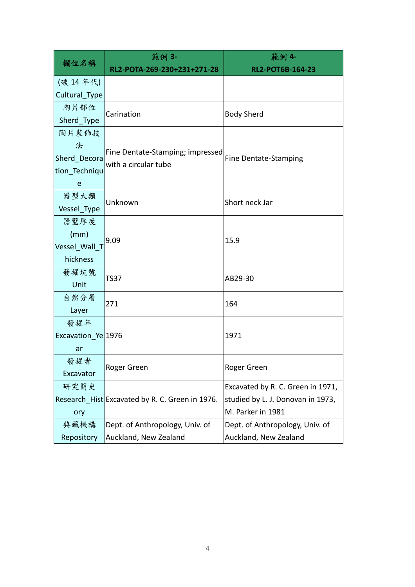|                    | 範例 3-                                           | 範例 4-                             |
|--------------------|-------------------------------------------------|-----------------------------------|
| 欄位名稱               | RL2-POTA-269-230+231+271-28                     | RL2-POT6B-164-23                  |
| (碳 14年代)           |                                                 |                                   |
| Cultural Type      |                                                 |                                   |
| 陶片部位               | Carination                                      |                                   |
| Sherd_Type         |                                                 | <b>Body Sherd</b>                 |
| 陶片裝飾技              |                                                 |                                   |
| 法                  | Fine Dentate-Stamping; impressed                |                                   |
| Sherd_Decora       | with a circular tube                            | <b>Fine Dentate-Stamping</b>      |
| tion Techniqu      |                                                 |                                   |
| e                  |                                                 |                                   |
| 器型大類               | Unknown                                         | Short neck Jar                    |
| Vessel_Type        |                                                 |                                   |
| 器壁厚度               |                                                 |                                   |
| (mm)               | 9.09                                            | 15.9                              |
| Vessel Wall T      |                                                 |                                   |
| hickness           |                                                 |                                   |
| 發掘坑號               | TS37                                            | AB29-30                           |
| Unit               |                                                 |                                   |
| 自然分層               | 271                                             | 164                               |
| Layer              |                                                 |                                   |
| 發掘年                |                                                 |                                   |
| Excavation Ye 1976 |                                                 | 1971                              |
| ar                 |                                                 |                                   |
| 發掘者                | Roger Green                                     | Roger Green                       |
| Excavator          |                                                 |                                   |
| 研究簡史               |                                                 | Excavated by R. C. Green in 1971, |
|                    | Research Hist Excavated by R. C. Green in 1976. | studied by L. J. Donovan in 1973, |
| ory                |                                                 | M. Parker in 1981                 |
| 典藏機構               | Dept. of Anthropology, Univ. of                 | Dept. of Anthropology, Univ. of   |
| Repository         | Auckland, New Zealand                           | Auckland, New Zealand             |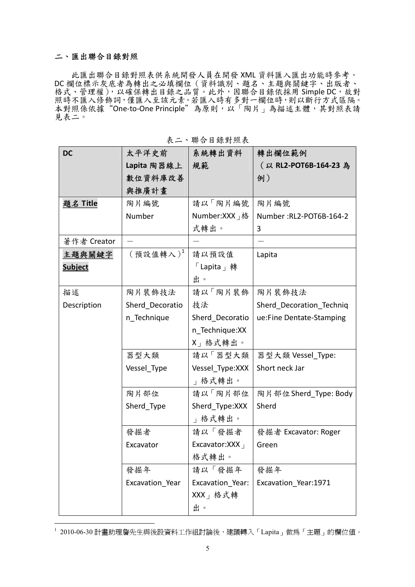#### 二、匯出聯合目錄對照

 $\overline{a}$ 

此匯出聯合目錄對照表供系統開發人員在開發 XML 資料匯入匯出功能時參考。 DC 欄位標示灰底者為轉出之必填欄位(資料識別、題名、主題與關鍵字、出版者、 格式、管理權), 以確保轉出目錄之品質。此外, 因聯合目錄依採用 Simple DC, 故對 照時不匯入修飾詞,僅匯入至該元素。若匯入時有多對一欄位時,則以斷行方式區隔。 本對照係依據"One-to-One Principle"為原則, 以「陶片」為描述主體, 其對照表請 見表二。

| <b>DC</b>       | 太平洋史前                                                                                                                                                                                                                                                                                                                                                                                        | 系統轉出資料                                      | 轉出欄位範例                   |
|-----------------|----------------------------------------------------------------------------------------------------------------------------------------------------------------------------------------------------------------------------------------------------------------------------------------------------------------------------------------------------------------------------------------------|---------------------------------------------|--------------------------|
|                 | Lapita 陶器線上                                                                                                                                                                                                                                                                                                                                                                                  | 規範                                          | (以 RL2-POT6B-164-23 為    |
|                 | 數位資料庫改善                                                                                                                                                                                                                                                                                                                                                                                      |                                             | 例)                       |
|                 | 與推廣計畫                                                                                                                                                                                                                                                                                                                                                                                        |                                             |                          |
| <u>題名 Title</u> | 陶片編號                                                                                                                                                                                                                                                                                                                                                                                         | 請以「陶片編號                                     | 陶片編號                     |
|                 | Number                                                                                                                                                                                                                                                                                                                                                                                       | Number:XXX 」格                               | Number: RL2-POT6B-164-2  |
|                 |                                                                                                                                                                                                                                                                                                                                                                                              | 式轉出。                                        | 3                        |
| 著作者 Creator     |                                                                                                                                                                                                                                                                                                                                                                                              |                                             |                          |
| 主題與關鍵字          | $(\frac{1}{2} \frac{1}{2} \frac{1}{2} \frac{1}{2} \frac{1}{2} \frac{1}{2} \frac{1}{2} \frac{1}{2} \frac{1}{2} \frac{1}{2} \frac{1}{2} \frac{1}{2} \frac{1}{2} \frac{1}{2} \frac{1}{2} \frac{1}{2} \frac{1}{2} \frac{1}{2} \frac{1}{2} \frac{1}{2} \frac{1}{2} \frac{1}{2} \frac{1}{2} \frac{1}{2} \frac{1}{2} \frac{1}{2} \frac{1}{2} \frac{1}{2} \frac{1}{2} \frac{1}{2} \frac{1}{2} \frac$ | 請以預設值                                       | Lapita                   |
| <b>Subject</b>  |                                                                                                                                                                                                                                                                                                                                                                                              | $\sqrt{\frac{1}{1}}$ Lapita $\frac{1}{1}$ 轉 |                          |
|                 |                                                                                                                                                                                                                                                                                                                                                                                              | 出。                                          |                          |
| 描述              | 陶片裝飾技法                                                                                                                                                                                                                                                                                                                                                                                       | 請以「陶片裝飾                                     | 陶片裝飾技法                   |
| Description     | Sherd Decoratio                                                                                                                                                                                                                                                                                                                                                                              | 技法                                          | Sherd Decoration Techniq |
|                 | n Technique                                                                                                                                                                                                                                                                                                                                                                                  | Sherd Decoratio                             | ue:Fine Dentate-Stamping |
|                 |                                                                                                                                                                                                                                                                                                                                                                                              | n Technique:XX                              |                          |
|                 |                                                                                                                                                                                                                                                                                                                                                                                              | X」格式轉出。                                     |                          |
|                 | 器型大類                                                                                                                                                                                                                                                                                                                                                                                         | 請以「器型大類                                     | 器型大類 Vessel_Type:        |
|                 | Vessel_Type                                                                                                                                                                                                                                                                                                                                                                                  | Vessel_Type:XXX                             | Short neck Jar           |
|                 |                                                                                                                                                                                                                                                                                                                                                                                              | 」格式轉出。                                      |                          |
|                 | 陶片部位                                                                                                                                                                                                                                                                                                                                                                                         | 請以「陶片部位                                     | 陶片部位 Sherd_Type: Body    |
|                 | Sherd_Type                                                                                                                                                                                                                                                                                                                                                                                   | Sherd_Type:XXX                              | Sherd                    |
|                 |                                                                                                                                                                                                                                                                                                                                                                                              | 」格式轉出。                                      |                          |
|                 | 發掘者                                                                                                                                                                                                                                                                                                                                                                                          | 請以「發掘者                                      | 發掘者 Excavator: Roger     |
|                 | Excavator                                                                                                                                                                                                                                                                                                                                                                                    | Excavator:XXX                               | Green                    |
|                 |                                                                                                                                                                                                                                                                                                                                                                                              | 格式轉出。                                       |                          |
|                 | 發掘年                                                                                                                                                                                                                                                                                                                                                                                          | 請以「發掘年                                      | 發掘年                      |
|                 | Excavation_Year                                                                                                                                                                                                                                                                                                                                                                              | Excavation_Year:                            | Excavation Year:1971     |
|                 |                                                                                                                                                                                                                                                                                                                                                                                              | XXX」格式轉                                     |                          |
|                 |                                                                                                                                                                                                                                                                                                                                                                                              | 出。                                          |                          |

表二、聯合目錄對照表

 $^{\rm 1}$  2010-06-30 計畫助理詹先生與後設資料工作組討論後,建議轉入「Lapita」做爲「主題」的欄位値。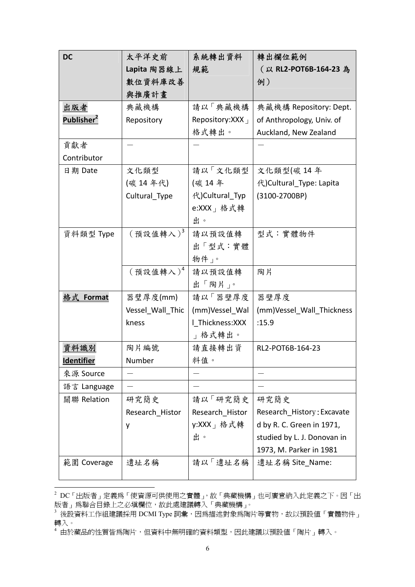| <b>DC</b>              | 太平洋史前                | 系統轉出資料                  | 轉出欄位範例                      |
|------------------------|----------------------|-------------------------|-----------------------------|
|                        | Lapita 陶器線上          | 規範                      | (以 RL2-POT6B-164-23 為       |
|                        | 數位資料庫改善              |                         | 例)                          |
|                        | 與推廣計畫                |                         |                             |
| 出版者                    | 典藏機構                 | 請以「典藏機構                 | 典藏機構 Repository: Dept.      |
| Publisher <sup>2</sup> | Repository           | Repository: XXX $_1$    | of Anthropology, Univ. of   |
|                        |                      | 格式轉出。                   | Auckland, New Zealand       |
| 貢獻者                    |                      |                         |                             |
| Contributor            |                      |                         |                             |
| 日期 Date                | 文化類型                 | 請以「文化類型                 | 文化類型(碳14年                   |
|                        | (碳 14年代)             | (碳 14年                  | 代) Cultural_Type: Lapita    |
|                        | Cultural_Type        | 代)Cultural_Typ          | (3100-2700BP)               |
|                        |                      | e:XXX   格式轉             |                             |
|                        |                      | 出。                      |                             |
| 資料類型 Type              | $(\,$ 預設值轉入 $)^3$    | 請以預設值轉                  | 型式:實體物件                     |
|                        |                      | 出「型式:實體                 |                             |
|                        |                      | 物件」。                    |                             |
|                        | ${(\,$ 預設值轉入 ${)}^4$ | 請以預設值轉                  | 陶片                          |
|                        |                      | 出「陶片」。                  |                             |
| 格式 Format              | 器璧厚度(mm)             | 請以「器壁厚度                 | 器壁厚度                        |
|                        | Vessel Wall Thic     | (mm)Vessel Wal          | (mm)Vessel_Wall_Thickness   |
|                        | kness                | I Thickness: XXX        | :15.9                       |
|                        |                      | 格式轉出。<br>$\overline{1}$ |                             |
| 資料識別                   | 陶片編號                 | 請直接轉出資                  | RL2-POT6B-164-23            |
| <b>Identifier</b>      | Number               | 料值。                     |                             |
| 來源 Source              |                      |                         |                             |
| 語言 Language            |                      |                         |                             |
| 關聯 Relation            | 研究簡史                 | 請以「研究簡史                 | 研究簡史                        |
|                        | Research Histor      | Research Histor         | Research History: Excavate  |
|                        | у                    | y:XXX」格式轉               | d by R. C. Green in 1971,   |
|                        |                      | 出。                      | studied by L. J. Donovan in |
|                        |                      |                         | 1973, M. Parker in 1981     |
| 範圍 Coverage            | 遺址名稱                 | 請以「遺址名稱                 | 遺址名稱 Site_Name:             |
|                        |                      |                         |                             |

 2 DC「出版者」定義為「使資源可供使用之實體」,故「典藏機構」也可廣意納入此定義之下。因「出 版者」爲聯合目錄上之必塡欄位,故此處建議轉入「典藏機構」。

 $^3$  後設資料工作組建議採用 DCMI Type 詞彙,因爲描述對象爲陶片等實物,故以預設値「實體物件」 轉入。

<sup>4</sup> 由於藏品的性質皆為陶片,但資料中無明確的資料類型,因此建議以預設值「陶片」轉入。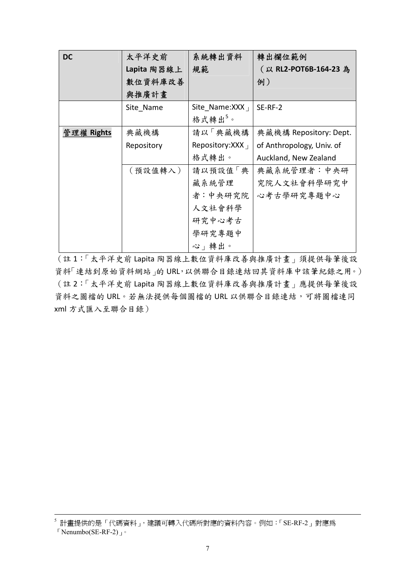| <b>DC</b>  | 太平洋史前       | 系統轉出資料                   | 轉出欄位範例                    |
|------------|-------------|--------------------------|---------------------------|
|            | Lapita 陶器線上 | 規範                       | (以 RL2-POT6B-164-23 為     |
|            | 數位資料庫改善     |                          | 例)                        |
|            | 與推廣計畫       |                          |                           |
|            | Site Name   | Site Name: $XXX_{\perp}$ | SE-RF-2                   |
|            |             | 格式轉出5。                   |                           |
| 管理權 Rights | 典藏機構        | 請以「典藏機構                  | 典藏機構 Repository: Dept.    |
|            | Repository  | Repository: XXX $_1$     | of Anthropology, Univ. of |
|            |             | 格式轉出。                    | Auckland, New Zealand     |
|            | (預設值轉入)     | 請以預設值「典                  | 典藏系統管理者:中央研               |
|            |             | 藏系統管理                    | 究院人文社會科學研究中               |
|            |             | 者:中央研究院                  | 心考古學研究專題中心                |
|            |             | 人文社會科學                   |                           |
|            |             | 研究中心考古                   |                           |
|            |             | 學研究專題中                   |                           |
|            |             | 心」轉出。                    |                           |

(註 1:「太平洋史前 Lapita 陶器線上數位資料庫改善與推廣計畫」須提供每筆後設 資料「連結到原始資料網站」的 URL,以供聯合目錄連結回其資料庫中該筆紀錄之用。) (註 2:「太平洋史前 Lapita 陶器線上數位資料庫改善與推廣計畫」應提供每筆後設 資料之圖檔的 URL。若無法提供每個圖檔的 URL 以供聯合目錄連結,可將圖檔連同 xml 方式匯入至聯合目錄)

 $^{\text{5}}$ 計畫提供的是「代碼資料」, 建議可轉入代碼所對應的資料內容。例如:「SE-RF-2」對應為

 $\sqrt{\frac{N_{\text{e}}}{N_{\text{e}}}$ Nenumbo(SE-RF-2)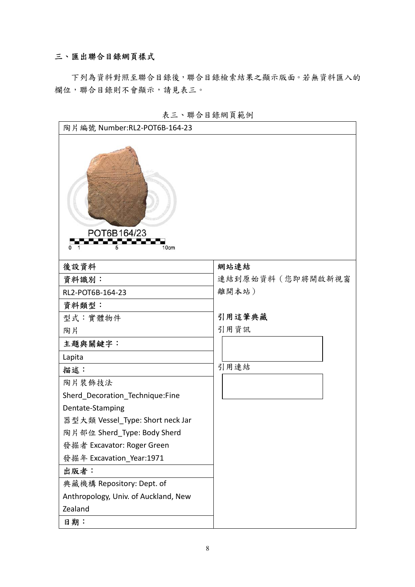### 三、匯出聯合目錄網頁樣式

下列為資料對照至聯合目錄後,聯合目錄檢索結果之顯示版面。若無資料匯入的 欄位,聯合目錄則不會顯示,請見表三。



表三、聯合目錄網頁範例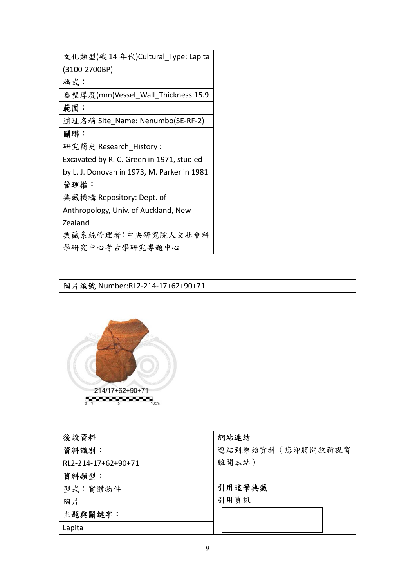| 文化類型(碳 14 年代)Cultural Type: Lapita          |
|---------------------------------------------|
| (3100-2700BP)                               |
| 格式:                                         |
| 器壁厚度(mm)Vessel Wall Thickness:15.9          |
| 範圍:                                         |
| 遺址名稱 Site Name: Nenumbo(SE-RF-2)            |
| 關聯:                                         |
| 研究簡史 Research History:                      |
| Excavated by R. C. Green in 1971, studied   |
| by L. J. Donovan in 1973, M. Parker in 1981 |
| 管理權:                                        |
| 典藏機構 Repository: Dept. of                   |
| Anthropology, Univ. of Auckland, New        |
| Zealand                                     |
| 典藏系統管理者:中央研究院人文社會科                          |
| 學研究中心考古學研究專題中心                              |

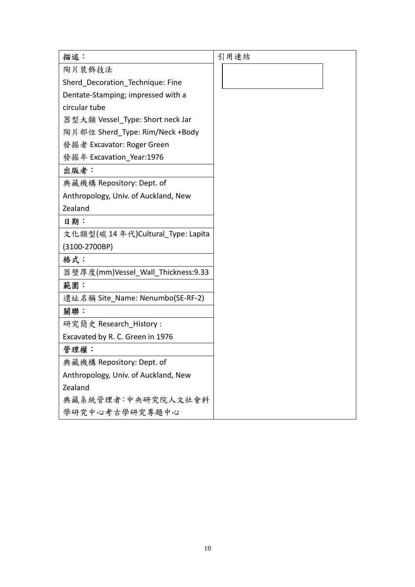| 描述:                                  | 引用連結 |
|--------------------------------------|------|
| 陶片裝飾技法                               |      |
| Sherd Decoration Technique: Fine     |      |
| Dentate-Stamping; impressed with a   |      |
| circular tube                        |      |
| 器型大類 Vessel_Type: Short neck Jar     |      |
| 陶片部位 Sherd Type: Rim/Neck +Body      |      |
| 發掘者 Excavator: Roger Green           |      |
| 發掘年 Excavation Year:1976             |      |
| 出版者:                                 |      |
| 典藏機構 Repository: Dept. of            |      |
| Anthropology, Univ. of Auckland, New |      |
| Zealand                              |      |
| 日期:                                  |      |
| 文化類型(碳 14 年代)Cultural_Type: Lapita   |      |
| (3100-2700BP)                        |      |
| 格式:                                  |      |
| 器壁厚度(mm)Vessel_Wall_Thickness:9.33   |      |
| 範圍:                                  |      |
| 遺址名稱 Site_Name: Nenumbo(SE-RF-2)     |      |
| 關聯:                                  |      |
| 研究簡史 Research_History:               |      |
| Excavated by R. C. Green in 1976     |      |
| 管理權:                                 |      |
| 典藏機構 Repository: Dept. of            |      |
| Anthropology, Univ. of Auckland, New |      |
| Zealand                              |      |
| 典藏系統管理者:中央研究院人文社會科                   |      |
| 學研究中心考古學研究專題中心                       |      |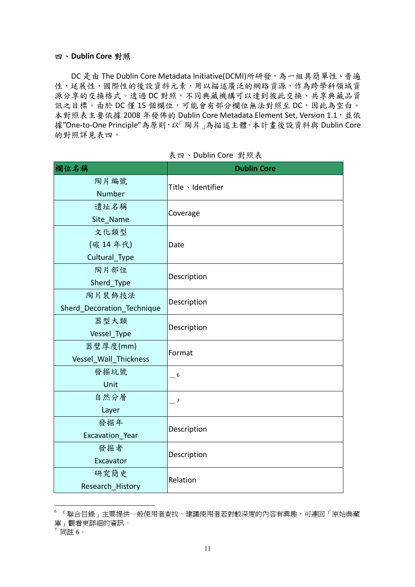#### 四、**Dublin Core** 對照

DC 是由 The Dublin Core Metadata Initiative(DCMI)所研發,為一組具簡單性、普遍 性、延展性、國際性的後設資料元素,用以描述廣泛的網路資源,作為跨學科領域資 源分享的交換格式。透過 DC 對照,不同典藏機構可以達到彼此交換、共享典藏品資 訊之目標。由於 DC 僅 15 個欄位,可能會有部分欄位無法對照至 DC, 因此為空白。 本對照表主要依據 2008年發佈的 Dublin Core Metadata Element Set, Version 1.1,並依 據"One‐to‐One Principle"為原則,以「陶片」為描述主體。本計畫後設資料與 Dublin Core 的對照詳見表四。

| 欄位名稱                       | <b>Dublin Core</b> |  |
|----------------------------|--------------------|--|
| 陶片編號<br>Number             | Title 、Identifier  |  |
| 遺址名稱                       | Coverage           |  |
| Site_Name                  |                    |  |
| 文化類型                       |                    |  |
| (碳 14年代)                   | Date               |  |
| Cultural_Type              |                    |  |
| 陶片部位                       | Description        |  |
| Sherd_Type                 |                    |  |
| 陶片裝飾技法                     |                    |  |
| Sherd_Decoration_Technique | Description        |  |
| 器型大類                       | Description        |  |
| Vessel_Type                |                    |  |
| 器璧厚度(mm)                   | Format             |  |
| Vessel_Wall_Thickness      |                    |  |
| 發掘坑號                       | $-6$               |  |
| Unit                       |                    |  |
| 自然分層                       | $-7$               |  |
| Layer                      |                    |  |
| 發掘年                        | Description        |  |
| Excavation Year            |                    |  |
| 發掘者                        | Description        |  |
| Excavator                  |                    |  |
| 研究簡史                       | Relation           |  |
| Research History           |                    |  |

表四、Dublin Core 對照表

 $\overline{a}$ 

<sup>6</sup> 「聯合目錄」主要提供一般使用者查找,建議使用者若對較深度的內容有興趣,可連回「原始典藏 庫」觀看更詳細的資訊。

<sup>7</sup> 同註 6。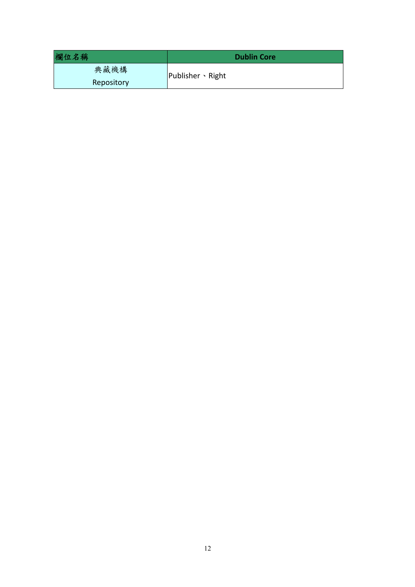| 欄位名稱       | <b>Dublin Core</b>      |
|------------|-------------------------|
| 典藏機構       | Publisher $\cdot$ Right |
| Repository |                         |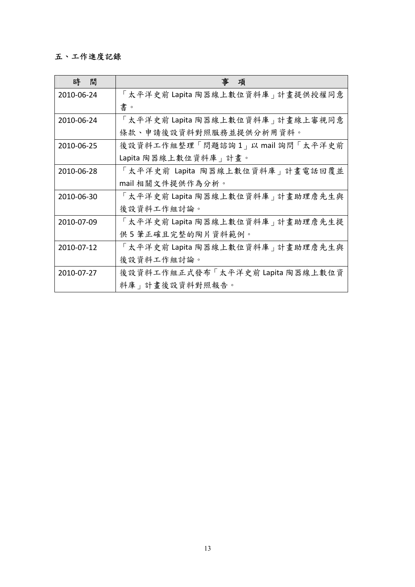# 五、工作進度記錄

| 時<br>間     | 項                                 |
|------------|-----------------------------------|
| 2010-06-24 | 「太平洋史前 Lapita 陶器線上數位資料庫 計畫提供授權同意  |
|            | 書。                                |
| 2010-06-24 | 「太平洋史前 Lapita 陶器線上數位資料庫 計畫線上審視同意  |
|            | 條款、申請後設資料對照服務並提供分析用資料。            |
| 2010-06-25 | 後設資料工作組整理「問題諮詢1」以 mail 詢問「太平洋史前   |
|            | Lapita 陶器線上數位資料庫   計畫。            |
| 2010-06-28 | 「太平洋史前 Lapita 陶器線上數位資料庫   計畫電話回覆並 |
|            | mail 相關文件提供作為分析。                  |
| 2010-06-30 | 「太平洋史前 Lapita 陶器線上數位資料庫 計畫助理詹先生與  |
|            | 後設資料工作組討論。                        |
| 2010-07-09 | 「太平洋史前 Lapita 陶器線上數位資料庫 計畫助理詹先生提  |
|            | 供5筆正確且完整的陶片資料範例。                  |
| 2010-07-12 | 「太平洋史前 Lapita 陶器線上數位資料庫 計畫助理詹先生與  |
|            | 後設資料工作組討論。                        |
| 2010-07-27 | 後設資料工作組正式發布「太平洋史前 Lapita 陶器線上數位資  |
|            | 料庫 出畫後設資料對照報告。                    |